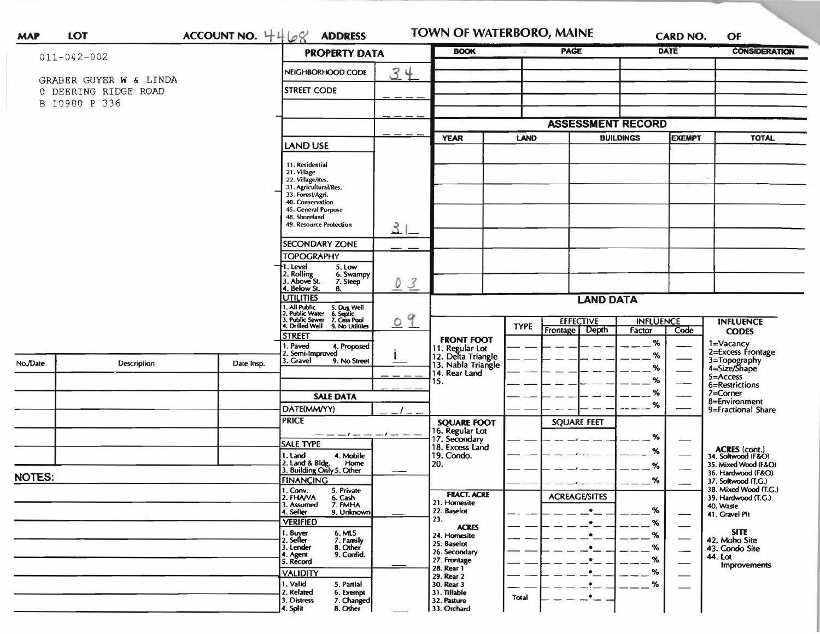| <b>MAP</b>        | <b>LOT</b>             | ACCOUNT NO. $4468$                                                                                                                    | <b>ADDRESS</b>                                                                                                                                                                         |       | <b>TOWN OF WATERBORO, MAINE</b>                             |                  |                              | <b>CARD NO.</b>                   |                  | OF                                           |
|-------------------|------------------------|---------------------------------------------------------------------------------------------------------------------------------------|----------------------------------------------------------------------------------------------------------------------------------------------------------------------------------------|-------|-------------------------------------------------------------|------------------|------------------------------|-----------------------------------|------------------|----------------------------------------------|
| $011 - 042 - 002$ |                        |                                                                                                                                       | <b>PROPERTY DATA</b>                                                                                                                                                                   |       | <b>BOOK</b>                                                 |                  | <b>PAGE</b>                  |                                   | <b>DATE</b>      | <b>CONSIDERATION</b>                         |
|                   | GRABER GUYER W & LINDA |                                                                                                                                       | NEIGHBORHOOD CODE                                                                                                                                                                      | 34    |                                                             |                  |                              |                                   |                  |                                              |
|                   | 0 DEERING RIDGE ROAD   | <b>STREET CODE</b>                                                                                                                    |                                                                                                                                                                                        |       |                                                             |                  |                              |                                   |                  |                                              |
|                   | B 10980 P 336          |                                                                                                                                       |                                                                                                                                                                                        |       |                                                             |                  |                              |                                   |                  |                                              |
|                   |                        |                                                                                                                                       |                                                                                                                                                                                        |       |                                                             |                  | <b>ASSESSMENT RECORD</b>     |                                   |                  |                                              |
|                   |                        |                                                                                                                                       |                                                                                                                                                                                        |       | <b>YEAR</b><br>LAND                                         |                  |                              | <b>BUILDINGS</b><br><b>EXEMPT</b> |                  | <b>TOTAL</b>                                 |
|                   |                        |                                                                                                                                       | <b>LAND USE</b>                                                                                                                                                                        |       |                                                             |                  |                              |                                   |                  |                                              |
|                   |                        |                                                                                                                                       | 11. Residential<br>21. Village<br>22. Village/Res.<br>31. Agricultural/Res.<br>33. Forest/Agri.<br>40. Conservation<br>45. General Purpose<br>48. Shoreland<br>49. Resource Protection | $3 -$ |                                                             |                  |                              |                                   |                  |                                              |
|                   |                        |                                                                                                                                       |                                                                                                                                                                                        |       |                                                             |                  |                              |                                   |                  |                                              |
|                   |                        |                                                                                                                                       | <b>SECONDARY ZONE</b><br><b>TOPOGRAPHY</b>                                                                                                                                             |       |                                                             |                  |                              |                                   |                  |                                              |
|                   |                        |                                                                                                                                       | 1. Level<br>5. Low<br>2. Rolling<br>3. Above St.<br>6. Swampy<br>7. Steep<br>4. Below St.<br>8.                                                                                        | 03    |                                                             |                  |                              |                                   |                  |                                              |
|                   |                        |                                                                                                                                       | <b>UTILITIES</b>                                                                                                                                                                       |       | <b>LAND DATA</b>                                            |                  |                              |                                   |                  |                                              |
|                   |                        | 1, All Public<br>2, Public Water<br>3, Public Sewer<br>5. Dug Well<br>6. Septic<br>7. Cess Pool<br>4. Drilled Well<br>9. No Utilities | 09                                                                                                                                                                                     |       | <b>TYPE</b>                                                 | <b>EFFECTIVE</b> |                              | <b>INFLUENCE</b>                  | <b>INFLUENCE</b> |                                              |
|                   |                        |                                                                                                                                       | <b>STREET</b>                                                                                                                                                                          |       | <b>FRONT FOOT</b>                                           |                  | Frontage Depth               | Factor<br>%                       | Code             | <b>CODES</b>                                 |
|                   |                        |                                                                                                                                       | I. Paved<br>4. Proposed<br>2. Semi-Improved                                                                                                                                            |       | 11. Regular Lot<br>12. Delta Triangle<br>13. Nabla Triangle |                  |                              | %                                 |                  | 1=Vacancy<br>2=Excess Frontage               |
| No./Date          | Description            | Date Insp.                                                                                                                            | 3. Gravel<br>9. No Street                                                                                                                                                              |       | 14. Rear Land                                               |                  |                              | %                                 |                  | 3=Topography<br>4=Size/Shape<br>5=Access     |
|                   |                        |                                                                                                                                       |                                                                                                                                                                                        |       | 15.                                                         |                  |                              | %                                 |                  | 6=Restrictions                               |
|                   |                        |                                                                                                                                       | <b>SALE DATA</b>                                                                                                                                                                       |       |                                                             |                  |                              | %                                 |                  | 7=Corner<br>8=Environment                    |
|                   |                        |                                                                                                                                       | DATE(MM/YY)                                                                                                                                                                            |       |                                                             |                  |                              | %                                 |                  | 9=Fractional Share                           |
|                   |                        |                                                                                                                                       | <b>PRICE</b>                                                                                                                                                                           |       | <b>SQUARE FOOT</b>                                          |                  | <b>SQUARE FEET</b>           |                                   |                  |                                              |
|                   |                        |                                                                                                                                       | — — — / — — — / — — —<br><b>SALE TYPE</b>                                                                                                                                              |       | 16. Regular Lot<br>17. Secondary                            |                  |                              | $\%$                              |                  |                                              |
|                   |                        |                                                                                                                                       | 1. Land<br>4. Mobile                                                                                                                                                                   |       | 18. Excess Land<br>19. Condo.                               |                  |                              | %                                 |                  | ACRES (cont.)<br>34. Softwood (F&O)          |
|                   |                        |                                                                                                                                       | 2. Land & Bldg. Home<br>3. Building Only 5. Other<br>Home                                                                                                                              |       | 20.                                                         |                  |                              | $\%$                              |                  | 35. Mixed Wood (F&O)<br>36. Hardwood (F&O)   |
|                   | <b>NOTES:</b>          |                                                                                                                                       | <b>FINANCING</b>                                                                                                                                                                       |       |                                                             |                  |                              | %                                 |                  | 37. Softwood (T.G.)                          |
|                   |                        |                                                                                                                                       | 1. Conv.<br>5. Private<br>2. FHAVA<br>6. Cash<br>7. FMHA                                                                                                                               |       | <b>FRACT. ACRE</b>                                          |                  | <b>ACREAGE/SITES</b>         |                                   |                  | 38. Mixed Wood (T.G.)<br>39. Hardwood (T.G.) |
|                   |                        |                                                                                                                                       | 3. Assumed<br>4. Seller<br>9. Unknown                                                                                                                                                  |       | 21. Homesite<br>22. Baselot                                 |                  | $\bullet$                    | ℅                                 |                  | 40. Waste<br>41. Gravel Pit                  |
|                   |                        |                                                                                                                                       | <b>VERIFIED</b>                                                                                                                                                                        |       | 23.<br><b>ACRES</b>                                         |                  | $\bullet$                    | %                                 |                  |                                              |
|                   |                        |                                                                                                                                       | 6. MLS<br>7. Family<br>1. Buyer<br>2. Seller                                                                                                                                           |       | 24. Homesite<br>25. Baselot                                 |                  | $\bullet$                    | $\%$                              |                  | <b>SITE</b><br>42. Moho Site                 |
|                   |                        |                                                                                                                                       | 3. Lender<br>8. Other<br>9. Confid.<br>4. Agent                                                                                                                                        |       | 26. Secondary                                               |                  | $\bullet$                    | %                                 |                  | 43. Condo Site<br>44. Lot                    |
|                   |                        |                                                                                                                                       | 5. Record                                                                                                                                                                              |       | 27. Frontage<br>28. Rear 1                                  |                  | $\bullet$                    | $\%$                              |                  | Improvements                                 |
|                   |                        |                                                                                                                                       | <b>VALIDITY</b><br>1. Valid<br>5. Partial                                                                                                                                              |       | 29. Rear 2<br>30. Rear 3                                    |                  | $\bullet$<br>$\cdot$ $\cdot$ | %<br>%                            |                  |                                              |
|                   |                        |                                                                                                                                       | 2. Related<br>6. Exempt<br>3. Distress<br>7. Changed<br>8. Other<br>4. Split                                                                                                           |       | 31. Tillable<br>32. Pasture<br>33. Orchard                  | Total            | $-$                          |                                   |                  |                                              |